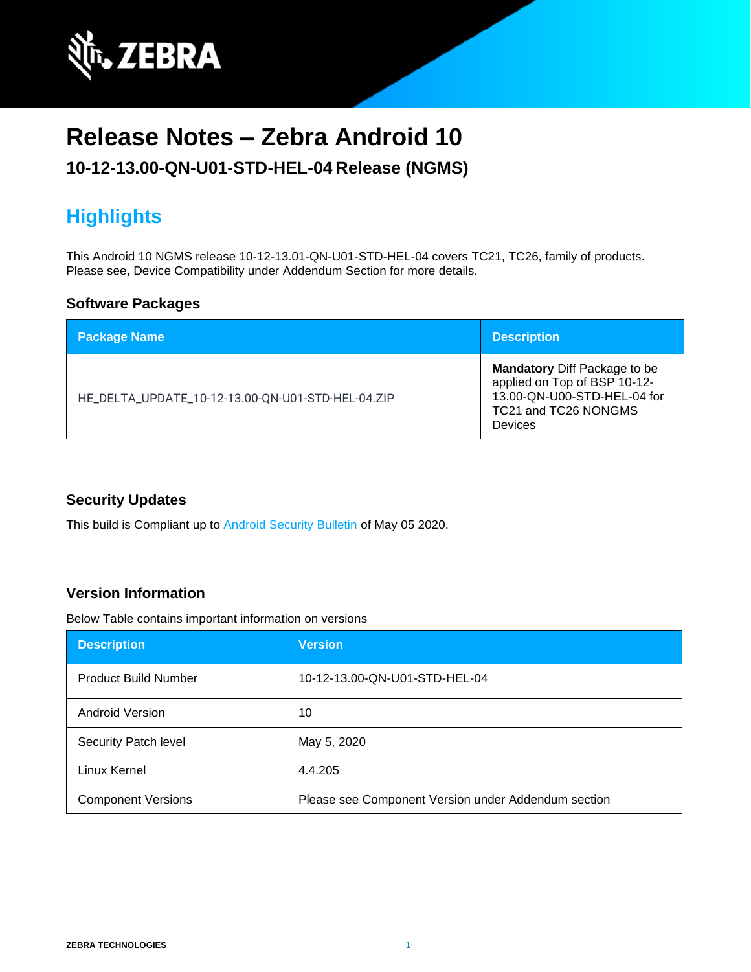

# **Release Notes – Zebra Android 10**

#### **10-12-13.00-QN-U01-STD-HEL-04 Release (NGMS)**

# **Highlights**

This Android 10 NGMS release 10-12-13.01-QN-U01-STD-HEL-04 covers TC21, TC26, family of products. Please see, Device Compatibility under Addendum Section for more details.

#### **Software Packages**

| <b>Package Name</b>                               | <b>Description</b>                                                                                                                    |
|---------------------------------------------------|---------------------------------------------------------------------------------------------------------------------------------------|
| HE_DELTA_UPDATE_10-12-13.00-QN-U01-STD-HEL-04.ZIP | <b>Mandatory</b> Diff Package to be<br>applied on Top of BSP 10-12-<br>13.00-QN-U00-STD-HEL-04 for<br>TC21 and TC26 NONGMS<br>Devices |

#### **Security Updates**

This build is Compliant up to [Android Security Bulletin](https://source.android.com/security/bulletin/) of May 05 2020.

#### **Version Information**

Below Table contains important information on versions

| <b>Description</b>          | <b>Version</b>                                      |
|-----------------------------|-----------------------------------------------------|
| <b>Product Build Number</b> | 10-12-13.00-QN-U01-STD-HEL-04                       |
| <b>Android Version</b>      | 10                                                  |
| Security Patch level        | May 5, 2020                                         |
| Linux Kernel                | 4.4.205                                             |
| <b>Component Versions</b>   | Please see Component Version under Addendum section |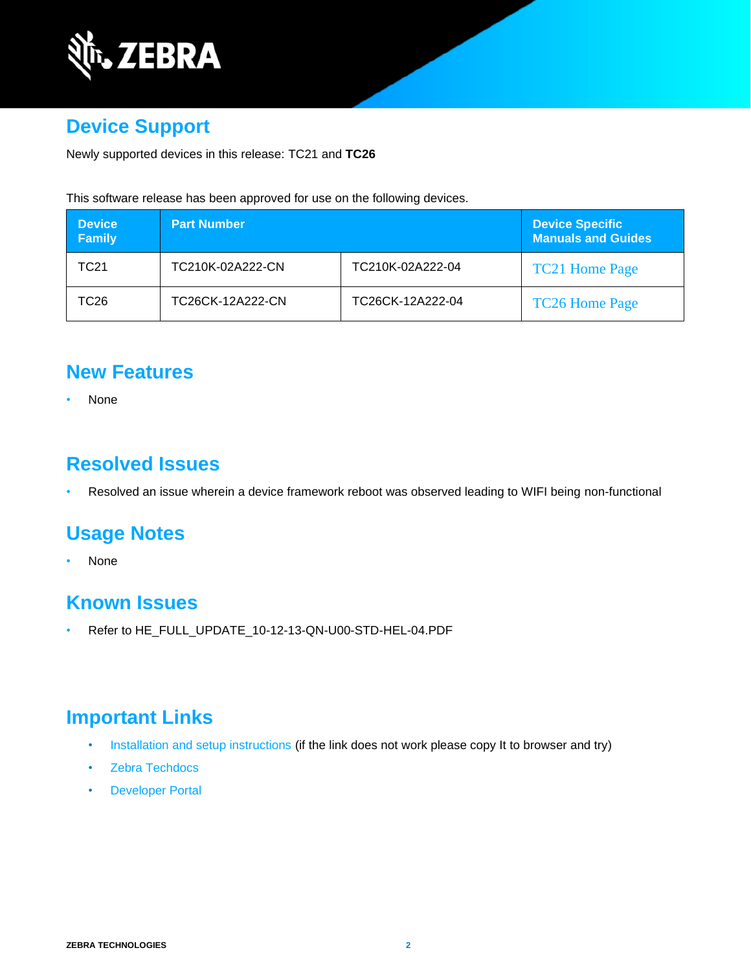

## **Device Support**

Newly supported devices in this release: TC21 and **TC26**

This software release has been approved for use on the following devices.

| <b>Device</b><br><b>Family</b> | <b>Part Number</b> |                  | <b>Device Specific</b><br><b>Manuals and Guides</b> |
|--------------------------------|--------------------|------------------|-----------------------------------------------------|
| TC21                           | TC210K-02A222-CN   | TC210K-02A222-04 | <b>TC21 Home Page</b>                               |
| TC26.                          | TC26CK-12A222-CN   | TC26CK-12A222-04 | <b>TC26 Home Page</b>                               |

#### **New Features**

• None

### **Resolved Issues**

• Resolved an issue wherein a device framework reboot was observed leading to WIFI being non-functional

### **Usage Notes**

• None

#### **Known Issues**

• Refer to HE\_FULL\_UPDATE\_10-12-13-QN-U00-STD-HEL-04.PDF

### **Important Links**

- [Installation and setup instructions](https://www.zebra.com/content/dam/zebra_new_ia/en-us/software/operating-system/helios/a10-os-update-instructions.pdf) (if the link does not work please copy It to browser and try)
- [Zebra Techdocs](http://techdocs.zebra.com/)
- [Developer Portal](http://developer.zebra.com/)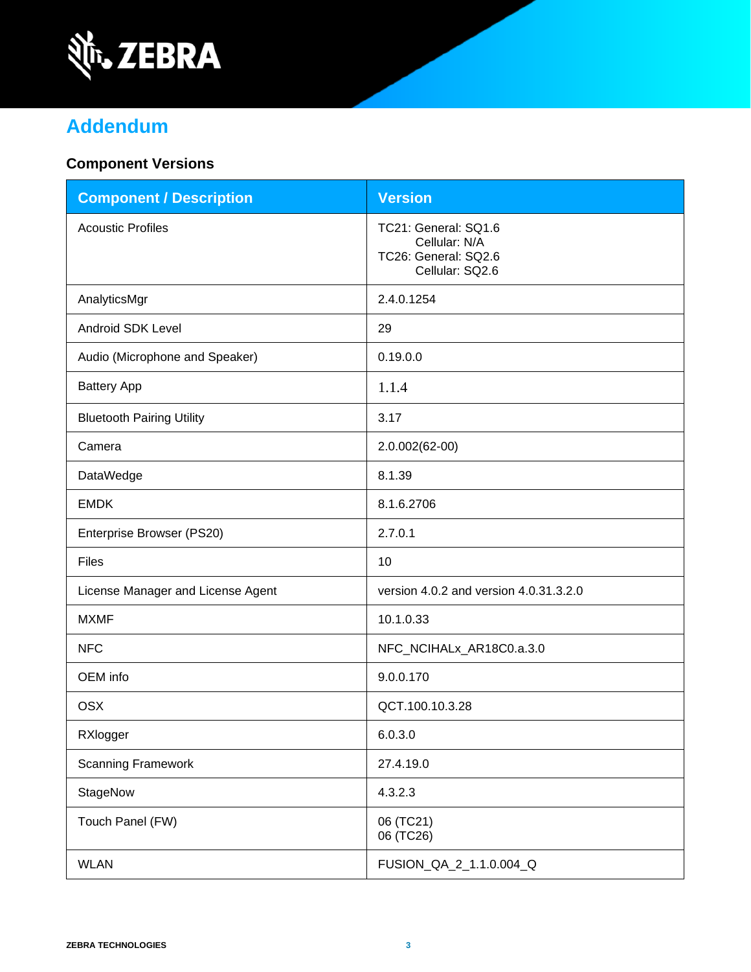

# **Addendum**

#### **Component Versions**

| <b>Component / Description</b>    | <b>Version</b>                                                                   |
|-----------------------------------|----------------------------------------------------------------------------------|
| <b>Acoustic Profiles</b>          | TC21: General: SQ1.6<br>Cellular: N/A<br>TC26: General: SQ2.6<br>Cellular: SQ2.6 |
| AnalyticsMgr                      | 2.4.0.1254                                                                       |
| <b>Android SDK Level</b>          | 29                                                                               |
| Audio (Microphone and Speaker)    | 0.19.0.0                                                                         |
| <b>Battery App</b>                | 1.1.4                                                                            |
| <b>Bluetooth Pairing Utility</b>  | 3.17                                                                             |
| Camera                            | 2.0.002(62-00)                                                                   |
| DataWedge                         | 8.1.39                                                                           |
| <b>EMDK</b>                       | 8.1.6.2706                                                                       |
| Enterprise Browser (PS20)         | 2.7.0.1                                                                          |
| <b>Files</b>                      | 10                                                                               |
| License Manager and License Agent | version 4.0.2 and version 4.0.31.3.2.0                                           |
| <b>MXMF</b>                       | 10.1.0.33                                                                        |
| <b>NFC</b>                        | NFC_NCIHALx_AR18C0.a.3.0                                                         |
| OEM info                          | 9.0.0.170                                                                        |
| <b>OSX</b>                        | QCT.100.10.3.28                                                                  |
| RXlogger                          | 6.0.3.0                                                                          |
| <b>Scanning Framework</b>         | 27.4.19.0                                                                        |
| StageNow                          | 4.3.2.3                                                                          |
| Touch Panel (FW)                  | 06 (TC21)<br>06 (TC26)                                                           |
| <b>WLAN</b>                       | FUSION_QA_2_1.1.0.004_Q                                                          |